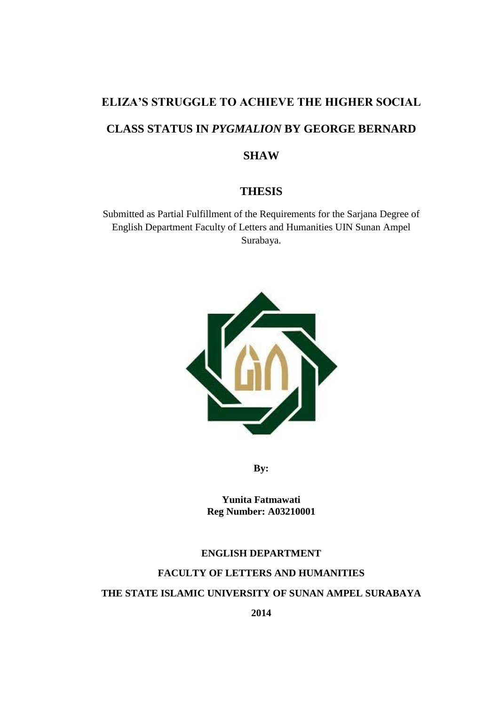# **ELIZA'S STRUGGLE TO ACHIEVE THE HIGHER SOCIAL CLASS STATUS IN** *PYGMALION* **BY GEORGE BERNARD SHAW**

# **THESIS**

Submitted as Partial Fulfillment of the Requirements for the Sarjana Degree of English Department Faculty of Letters and Humanities UIN Sunan Ampel Surabaya.



**By:**

**Yunita Fatmawati Reg Number: A03210001**

## **ENGLISH DEPARTMENT**

# **FACULTY OF LETTERS AND HUMANITIES**

## **THE STATE ISLAMIC UNIVERSITY OF SUNAN AMPEL SURABAYA**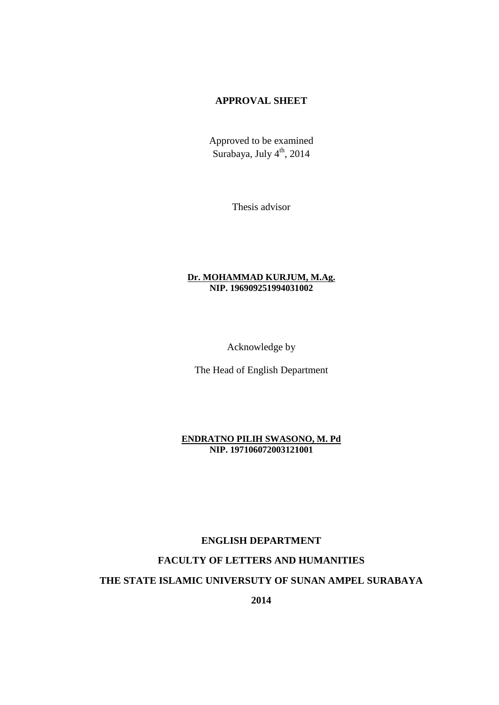# **APPROVAL SHEET**

Approved to be examined Surabaya, July 4<sup>th</sup>, 2014

Thesis advisor

### **Dr. MOHAMMAD KURJUM, M.Ag. NIP. 196909251994031002**

Acknowledge by

The Head of English Department

**ENDRATNO PILIH SWASONO, M. Pd NIP. 197106072003121001**

# **ENGLISH DEPARTMENT**

## **FACULTY OF LETTERS AND HUMANITIES**

## **THE STATE ISLAMIC UNIVERSUTY OF SUNAN AMPEL SURABAYA**

**2014**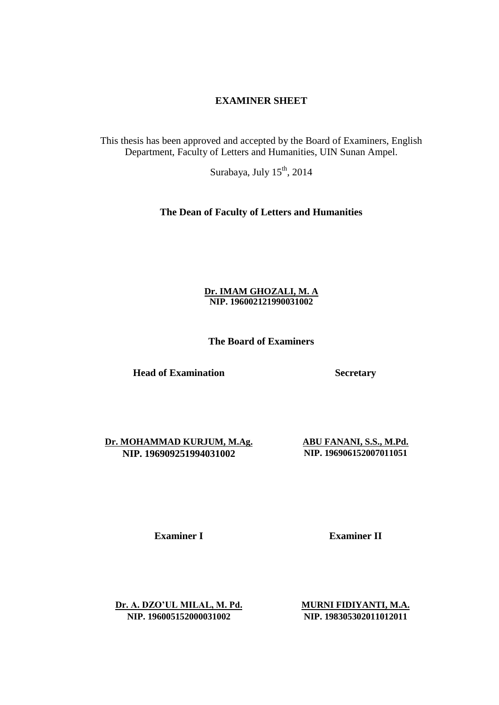## **EXAMINER SHEET**

This thesis has been approved and accepted by the Board of Examiners, English Department, Faculty of Letters and Humanities, UIN Sunan Ampel.

Surabaya, July  $15<sup>th</sup>$ , 2014

## **The Dean of Faculty of Letters and Humanities**

## **Dr. IMAM GHOZALI, M. A NIP. 196002121990031002**

**The Board of Examiners**

**Head of Examination Secretary**

**Dr. MOHAMMAD KURJUM, M.Ag. ABU FANANI, S.S., M.Pd. NIP. 196909251994031002 NIP. 196906152007011051**

**Examiner I Examiner II** 

**Dr. A. DZO'UL MILAL, M. Pd. MURNI FIDIYANTI, M.A. NIP. 196005152000031002 NIP. 198305302011012011**